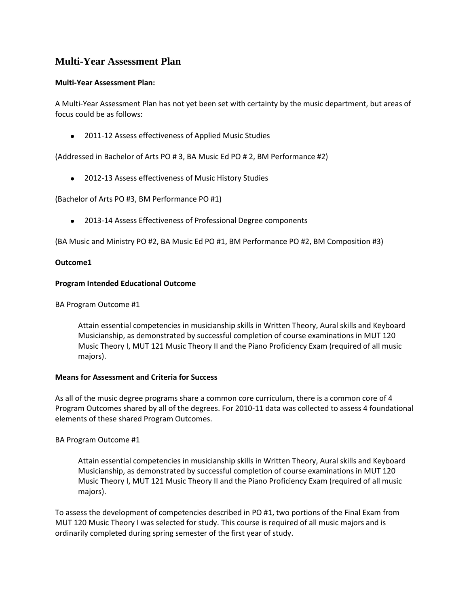# **Multi-Year Assessment Plan**

## **Multi-Year Assessment Plan:**

A Multi-Year Assessment Plan has not yet been set with certainty by the music department, but areas of focus could be as follows:

2011-12 Assess effectiveness of Applied Music Studies

(Addressed in Bachelor of Arts PO # 3, BA Music Ed PO # 2, BM Performance #2)

2012-13 Assess effectiveness of Music History Studies

(Bachelor of Arts PO #3, BM Performance PO #1)

2013-14 Assess Effectiveness of Professional Degree components

(BA Music and Ministry PO #2, BA Music Ed PO #1, BM Performance PO #2, BM Composition #3)

## **Outcome1**

## **Program Intended Educational Outcome**

BA Program Outcome #1

Attain essential competencies in musicianship skills in Written Theory, Aural skills and Keyboard Musicianship, as demonstrated by successful completion of course examinations in MUT 120 Music Theory I, MUT 121 Music Theory II and the Piano Proficiency Exam (required of all music majors).

### **Means for Assessment and Criteria for Success**

As all of the music degree programs share a common core curriculum, there is a common core of 4 Program Outcomes shared by all of the degrees. For 2010-11 data was collected to assess 4 foundational elements of these shared Program Outcomes.

# BA Program Outcome #1

Attain essential competencies in musicianship skills in Written Theory, Aural skills and Keyboard Musicianship, as demonstrated by successful completion of course examinations in MUT 120 Music Theory I, MUT 121 Music Theory II and the Piano Proficiency Exam (required of all music majors).

To assess the development of competencies described in PO #1, two portions of the Final Exam from MUT 120 Music Theory I was selected for study. This course is required of all music majors and is ordinarily completed during spring semester of the first year of study.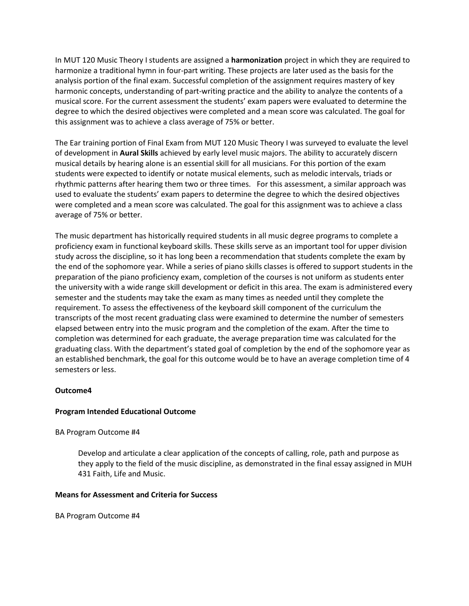In MUT 120 Music Theory I students are assigned a **harmonization** project in which they are required to harmonize a traditional hymn in four-part writing. These projects are later used as the basis for the analysis portion of the final exam. Successful completion of the assignment requires mastery of key harmonic concepts, understanding of part-writing practice and the ability to analyze the contents of a musical score. For the current assessment the students' exam papers were evaluated to determine the degree to which the desired objectives were completed and a mean score was calculated. The goal for this assignment was to achieve a class average of 75% or better.

The Ear training portion of Final Exam from MUT 120 Music Theory I was surveyed to evaluate the level of development in **Aural Skills** achieved by early level music majors. The ability to accurately discern musical details by hearing alone is an essential skill for all musicians. For this portion of the exam students were expected to identify or notate musical elements, such as melodic intervals, triads or rhythmic patterns after hearing them two or three times. For this assessment, a similar approach was used to evaluate the students' exam papers to determine the degree to which the desired objectives were completed and a mean score was calculated. The goal for this assignment was to achieve a class average of 75% or better.

The music department has historically required students in all music degree programs to complete a proficiency exam in functional keyboard skills. These skills serve as an important tool for upper division study across the discipline, so it has long been a recommendation that students complete the exam by the end of the sophomore year. While a series of piano skills classes is offered to support students in the preparation of the piano proficiency exam, completion of the courses is not uniform as students enter the university with a wide range skill development or deficit in this area. The exam is administered every semester and the students may take the exam as many times as needed until they complete the requirement. To assess the effectiveness of the keyboard skill component of the curriculum the transcripts of the most recent graduating class were examined to determine the number of semesters elapsed between entry into the music program and the completion of the exam. After the time to completion was determined for each graduate, the average preparation time was calculated for the graduating class. With the department's stated goal of completion by the end of the sophomore year as an established benchmark, the goal for this outcome would be to have an average completion time of 4 semesters or less.

# **Outcome4**

### **Program Intended Educational Outcome**

### BA Program Outcome #4

Develop and articulate a clear application of the concepts of calling, role, path and purpose as they apply to the field of the music discipline, as demonstrated in the final essay assigned in MUH 431 Faith, Life and Music.

### **Means for Assessment and Criteria for Success**

BA Program Outcome #4